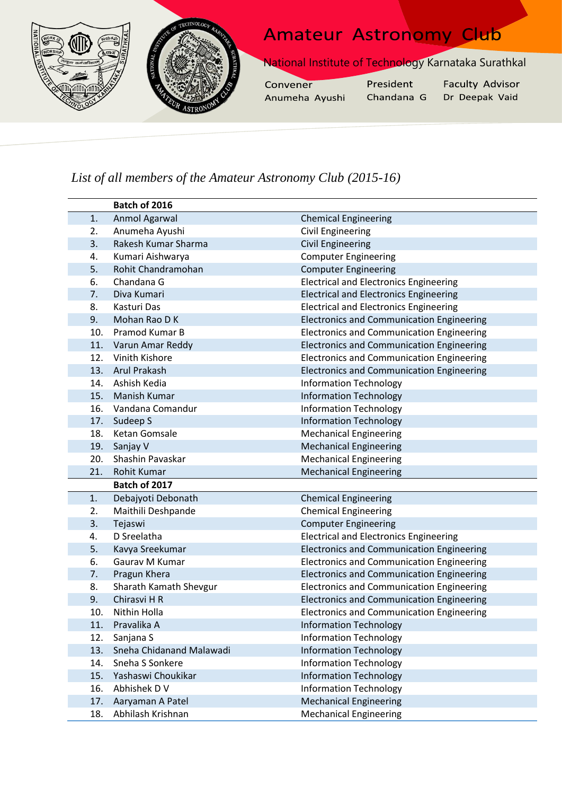

## *List of all members of the Amateur Astronomy Club (2015-16)*

|     | Batch of 2016            |                                                  |
|-----|--------------------------|--------------------------------------------------|
| 1.  | Anmol Agarwal            | <b>Chemical Engineering</b>                      |
| 2.  | Anumeha Ayushi           | Civil Engineering                                |
| 3.  | Rakesh Kumar Sharma      | <b>Civil Engineering</b>                         |
| 4.  | Kumari Aishwarya         | <b>Computer Engineering</b>                      |
| 5.  | Rohit Chandramohan       | <b>Computer Engineering</b>                      |
| 6.  | Chandana G               | <b>Electrical and Electronics Engineering</b>    |
| 7.  | Diva Kumari              | <b>Electrical and Electronics Engineering</b>    |
| 8.  | Kasturi Das              | <b>Electrical and Electronics Engineering</b>    |
| 9.  | Mohan Rao D K            | <b>Electronics and Communication Engineering</b> |
| 10. | Pramod Kumar B           | <b>Electronics and Communication Engineering</b> |
| 11. | Varun Amar Reddy         | <b>Electronics and Communication Engineering</b> |
| 12. | Vinith Kishore           | <b>Electronics and Communication Engineering</b> |
| 13. | <b>Arul Prakash</b>      | <b>Electronics and Communication Engineering</b> |
| 14. | Ashish Kedia             | <b>Information Technology</b>                    |
| 15. | Manish Kumar             | <b>Information Technology</b>                    |
| 16. | Vandana Comandur         | <b>Information Technology</b>                    |
| 17. | Sudeep S                 | <b>Information Technology</b>                    |
| 18. | Ketan Gomsale            | <b>Mechanical Engineering</b>                    |
| 19. | Sanjay V                 | <b>Mechanical Engineering</b>                    |
| 20. | Shashin Pavaskar         | <b>Mechanical Engineering</b>                    |
| 21. | <b>Rohit Kumar</b>       | <b>Mechanical Engineering</b>                    |
|     | Batch of 2017            |                                                  |
| 1.  | Debajyoti Debonath       | <b>Chemical Engineering</b>                      |
| 2.  | Maithili Deshpande       | <b>Chemical Engineering</b>                      |
| 3.  | Tejaswi                  | <b>Computer Engineering</b>                      |
| 4.  | D Sreelatha              | <b>Electrical and Electronics Engineering</b>    |
| 5.  | Kavya Sreekumar          | <b>Electronics and Communication Engineering</b> |
| 6.  | Gaurav M Kumar           | <b>Electronics and Communication Engineering</b> |
| 7.  | Pragun Khera             | <b>Electronics and Communication Engineering</b> |
| 8.  | Sharath Kamath Shevgur   | <b>Electronics and Communication Engineering</b> |
| 9.  | Chirasvi H R             | <b>Electronics and Communication Engineering</b> |
| 10. | Nithin Holla             | <b>Electronics and Communication Engineering</b> |
| 11. | Pravalika A              | <b>Information Technology</b>                    |
| 12. | Sanjana S                | <b>Information Technology</b>                    |
| 13. | Sneha Chidanand Malawadi | <b>Information Technology</b>                    |
| 14. | Sneha S Sonkere          | <b>Information Technology</b>                    |
| 15. | Yashaswi Choukikar       | <b>Information Technology</b>                    |
| 16. | Abhishek D V             | <b>Information Technology</b>                    |
| 17. | Aaryaman A Patel         | <b>Mechanical Engineering</b>                    |
| 18. | Abhilash Krishnan        | <b>Mechanical Engineering</b>                    |